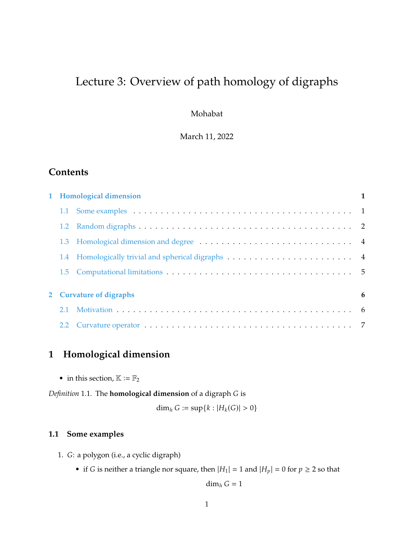# Lecture 3: Overview of path homology of digraphs

Mohabat

March 11, 2022

## **Contents**

|                         | 1 Homological dimension |  |  |
|-------------------------|-------------------------|--|--|
|                         |                         |  |  |
|                         |                         |  |  |
|                         |                         |  |  |
|                         |                         |  |  |
|                         |                         |  |  |
| 2 Curvature of digraphs |                         |  |  |
| 2.1                     |                         |  |  |
| 2.2                     |                         |  |  |

# <span id="page-0-0"></span>**1 Homological dimension**

• in this section,  $\mathbb{K} := \mathbb{F}_2$ 

*Definition* 1.1. The **homological dimension** of a digraph *G* is

$$
\dim_h G := \sup\{k : |H_k(G)| > 0\}
$$

### <span id="page-0-1"></span>**1.1 Some examples**

- 1. G: a polygon (i.e., a cyclic digraph)
	- if *G* is neither a triangle nor square, then  $|H_1| = 1$  and  $|H_p| = 0$  for  $p \ge 2$  so that

dim $_h G = 1$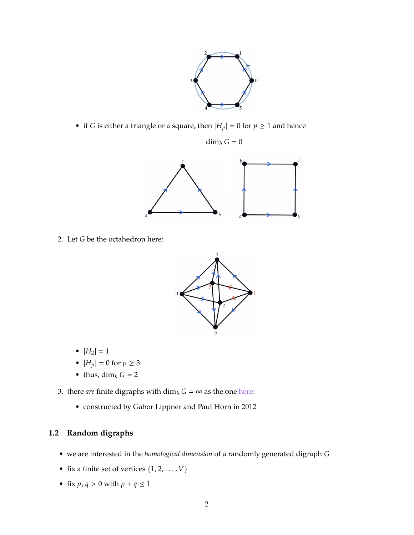

• if *G* is either a triangle or a square, then  $|H_p| = 0$  for  $p \ge 1$  and hence

$$
\dim_h G = 0
$$



2. Let  $G$  be the octahedron here:



- $|H_2| = 1$
- $|H_p| = 0$  for  $p \ge 3$
- thus,  $\dim_h G = 2$
- 3. there *are* finite digraphs with  $\dim_h G = \infty$  as the one here:
	- constructed by Gabor Lippner and Paul Horn in 2012

### <span id="page-1-0"></span>**1.2 Random digraphs**

- we are interested in the *homological dimension* of a randomly generated digraph
- fix a finite set of vertices  $\{1, 2, \ldots, V\}$
- fix  $p, q > 0$  with  $p + q \le 1$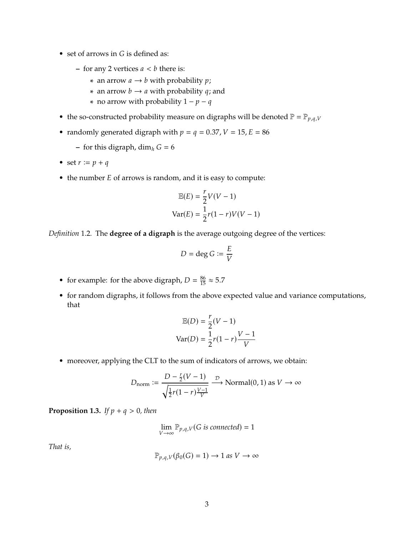- set of arrows in  $G$  is defined as:
	- $-$  for any 2 vertices  $a < b$  there is:
		- \* an arrow  $a \rightarrow b$  with probability  $p$ ;
		- \* an arrow  $b \rightarrow a$  with probability q; and
		- \* no arrow with probability  $1 p q$
- the so-constructed probability measure on digraphs will be denoted  $\mathbb{P} = \mathbb{P}_{p,q,V}$
- randomly generated digraph with  $p = q = 0.37$ ,  $V = 15$ ,  $E = 86$ 
	- **–** for this digraph, dim<sub>h</sub>  $G = 6$
- set  $r := p + q$
- $\bullet$  the number  $E$  of arrows is random, and it is easy to compute:

$$
\mathbb{E}(E) = \frac{r}{2}V(V-1)
$$

$$
\text{Var}(E) = \frac{1}{2}r(1-r)V(V-1)
$$

*Definition* 1.2*.* The **degree of a digraph** is the average outgoing degree of the vertices:

$$
D = \deg G := \frac{E}{V}
$$

- for example: for the above digraph,  $D = \frac{86}{15} \approx 5.7$
- for random digraphs, it follows from the above expected value and variance computations, that

$$
\mathbb{E}(D) = \frac{r}{2}(V - 1)
$$

$$
\text{Var}(D) = \frac{1}{2}r(1 - r)\frac{V - 1}{V}
$$

• moreover, applying the CLT to the sum of indicators of arrows, we obtain:

$$
D_{\text{norm}} := \frac{D - \frac{r}{2}(V - 1)}{\sqrt{\frac{1}{2}r(1 - r)\frac{V - 1}{V}}}
$$
 Normal(0, 1) as  $V \to \infty$ 

**Proposition 1.3.** *If*  $p + q > 0$ *, then* 

$$
\lim_{V \to \infty} \mathbb{P}_{p,q,V}(G \text{ is connected}) = 1
$$

*That is,*

$$
\mathbb{P}_{p,q,V}(\beta_0(G) = 1) \to 1 \text{ as } V \to \infty
$$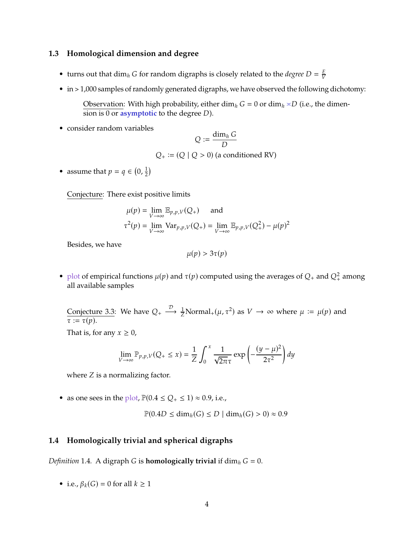#### <span id="page-3-0"></span>**1.3 Homological dimension and degree**

- turns out that dim<sub>h</sub> *G* for random digraphs is closely related to the *degree*  $D = \frac{E}{V}$
- in > 1,000 samples of randomly generated digraphs, we have observed the following dichotomy:

Observation: With high probability, either dim<sub>h</sub>  $G = 0$  or dim<sub>h</sub>  $\approx D$  (i.e., the dimension is 0 or **asymptotic** to the degree *D*).

• consider random variables

$$
Q := \frac{\dim_h G}{D}
$$
  
Q<sub>+</sub> := (Q | Q > 0) (a conditioned RV)

• assume that  $p = q \in (0, \frac{1}{2})$  $\frac{1}{2}$ 

Conjecture: There exist positive limits

$$
\mu(p) = \lim_{V \to \infty} \mathbb{E}_{p,p,V}(Q_+) \quad \text{and}
$$
  

$$
\tau^2(p) = \lim_{V \to \infty} \text{Var}_{p,p,V}(Q_+) = \lim_{V \to \infty} \mathbb{E}_{p,p,V}(Q_+^2) - \mu(p)^2
$$

Besides, we have

$$
\mu(p) > 3\tau(p)
$$

• plot of empirical functions  $\mu(p)$  and  $\tau(p)$  computed using the averages of  $Q_+$  and  $Q_+^2$  among all available samples all available samples

Conjecture 3.3: We have  $Q_+ \xrightarrow{\mathcal{D}} \frac{1}{Z}$ Normal<sub>+</sub>( $\mu$ ,  $\tau^2$ ) as  $V \to \infty$  where  $\mu := \mu(p)$  and  $\tau := \tau(n)$  $\tau := \tau(p)$ .

That is, for any  $x \geq 0$ ,

$$
\lim_{V \to \infty} \mathbb{P}_{p,p,V}(Q_+ \le x) = \frac{1}{Z} \int_0^x \frac{1}{\sqrt{2\pi} \tau} \exp\left(-\frac{(y-\mu)^2}{2\tau^2}\right) dy
$$

where  $Z$  is a normalizing factor.

• as one sees in the plot,  $\mathbb{P}(0.4 \le Q_+ \le 1) \approx 0.9$ , i.e.,

$$
\mathbb{P}(0.4D \le \dim_h(G) \le D \mid \dim_h(G) > 0) \approx 0.9
$$

#### <span id="page-3-1"></span>**1.4 Homologically trivial and spherical digraphs**

*Definition* 1.4. A digraph *G* is **homologically trivial** if dim $_h$   $G = 0$ .

• i.e.,  $\beta_k(G) = 0$  for all  $k \ge 1$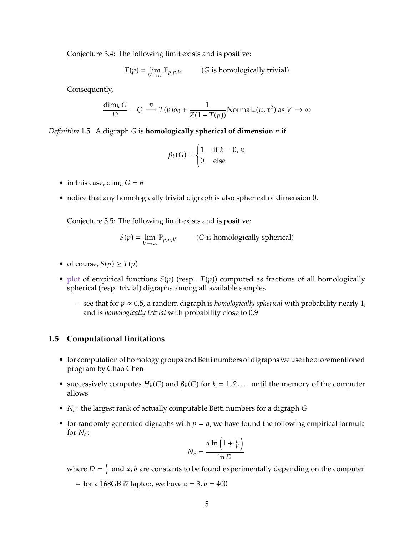Conjecture 3.4: The following limit exists and is positive:

$$
T(p) = \lim_{V \to \infty} \mathbb{P}_{p,p,V} \qquad (G \text{ is homologically trivial})
$$

Consequently,

$$
\frac{\dim_h G}{D} = Q \xrightarrow{\mathcal{D}} T(p)\delta_0 + \frac{1}{Z(1 - T(p))} \text{Normal}_+(\mu, \tau^2) \text{ as } V \to \infty
$$

*Definition* 1.5. A digraph *G* is **homologically spherical of dimension** *n* if

$$
\beta_k(G) = \begin{cases} 1 & \text{if } k = 0, n \\ 0 & \text{else} \end{cases}
$$

- in this case, dim<sub>h</sub>  $G = n$
- notice that any homologically trivial digraph is also spherical of dimension 0.

Conjecture 3.5: The following limit exists and is positive:

 $S(p) = \lim_{V \to \infty}$  $\mathbb{P}_{p,p,V}$  (*G* is homologically spherical)

- of course,  $S(p) \geq T(p)$
- plot of empirical functions  $S(p)$  (resp.  $T(p)$ ) computed as fractions of all homologically spherical (resp. trivial) digraphs among all available samples
	- $-$  see that for  $p \approx 0.5$ , a random digraph is *homologically spherical* with probability nearly 1, and is *homologically trivial* with probability close to 0.9

#### <span id="page-4-0"></span>**1.5 Computational limitations**

- for computation of homology groups and Betti numbers of digraphs we use the aforementioned program by Chao Chen
- successively computes  $H_k(G)$  and  $\beta_k(G)$  for  $k = 1, 2, \ldots$  until the memory of the computer allows
- $N_a$ : the largest rank of actually computable Betti numbers for a digraph  $G$
- for randomly generated digraphs with  $p = q$ , we have found the following empirical formula for  $N_a$ :

$$
N_e = \frac{a \ln\left(1 + \frac{b}{V}\right)}{\ln D}
$$

where  $D = \frac{E}{V}$  and *a*, *b* are constants to be found experimentally depending on the computer

 $-$  for a 168GB i7 laptop, we have  $a = 3$ ,  $b = 400$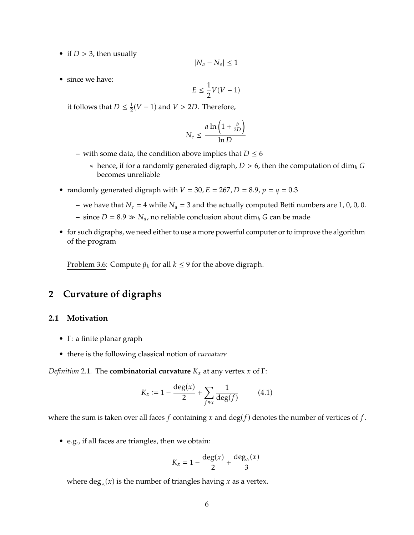• if  $D > 3$ , then usually

$$
|N_a-N_e|\leq 1
$$

• since we have:

$$
E \le \frac{1}{2}V(V-1)
$$

it follows that  $D \leq \frac{1}{2}$  $\frac{1}{2}(V-1)$  and  $V > 2D$ . Therefore,

$$
N_e \le \frac{a \ln\left(1 + \frac{b}{2D}\right)}{\ln D}
$$

- with some data, the condition above implies that  $D \le 6$ 
	- \* hence, if for a randomly generated digraph,  $D > 6$ , then the computation of dim $<sub>h</sub>$  G</sub> becomes unreliable
- randomly generated digraph with  $V = 30$ ,  $E = 267$ ,  $D = 8.9$ ,  $p = q = 0.3$ 
	- we have that  $N_e = 4$  while  $N_a = 3$  and the actually computed Betti numbers are 1, 0, 0, 0.
	- **–** since  $D = 8.9 \gg N_a$ , no reliable conclusion about dim<sub>h</sub> G can be made
- for such digraphs, we need either to use a more powerful computer or to improve the algorithm of the program

Problem 3.6: Compute  $\beta_k$  for all  $k \leq 9$  for the above digraph.

### <span id="page-5-0"></span>**2 Curvature of digraphs**

#### <span id="page-5-1"></span>**2.1 Motivation**

- Γ: a finite planar graph
- there is the following classical notion of *curvature*

*Definition* 2.1. The **combinatorial curvature**  $K_x$  at any vertex x of Γ:

$$
K_x := 1 - \frac{\deg(x)}{2} + \sum_{f \ni x} \frac{1}{\deg(f)} \tag{4.1}
$$

where the sum is taken over all faces  $f$  containing  $x$  and  $\deg(f)$  denotes the number of vertices of  $f$ .

• e.g., if all faces are triangles, then we obtain:

$$
K_x = 1 - \frac{\deg(x)}{2} + \frac{\deg_{\triangle}(x)}{3}
$$

where  $\deg_{\triangle}(x)$  is the number of triangles having x as a vertex.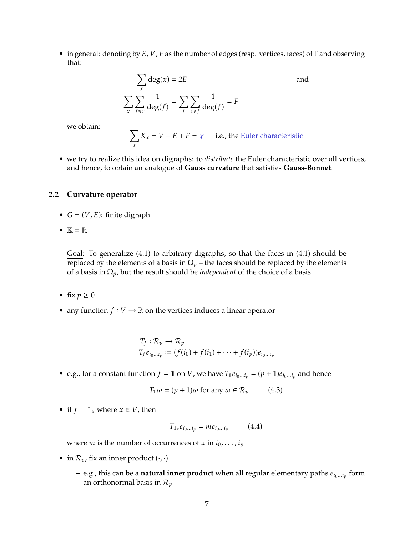• in general: denoting by  $E$ ,  $V$ ,  $F$  as the number of edges (resp. vertices, faces) of  $\Gamma$  and observing that:

$$
\sum_{x} \deg(x) = 2E
$$
  

$$
\sum_{x} \sum_{f \ni x} \frac{1}{\deg(f)} = \sum_{f} \sum_{x \in f} \frac{1}{\deg(f)} = F
$$

we obtain:

$$
\sum_{x} K_{x} = V - E + F = \chi
$$
 i.e., the Euler characteristic

• we try to realize this idea on digraphs: to *distribute* the Euler characteristic over all vertices, and hence, to obtain an analogue of **Gauss curvature** that satisfies **Gauss-Bonnet**.

#### <span id="page-6-0"></span>**2.2 Curvature operator**

- $G = (V, E)$ : finite digraph
- $\mathbb{K} = \mathbb{R}$

Goal: To generalize (4.1) to arbitrary digraphs, so that the faces in (4.1) should be replaced by the elements of a basis in  $\Omega_p$  – the faces should be replaced by the elements of a basis in  $\Omega_p$ , but the result should be *independent* of the choice of a basis.

- fix  $p \geq 0$
- any function  $f: V \to \mathbb{R}$  on the vertices induces a linear operator

$$
T_f: \mathcal{R}_p \to \mathcal{R}_p
$$
  
\n
$$
T_f e_{i_0 \dots i_p} := (f(i_0) + f(i_1) + \dots + f(i_p)) e_{i_0 \dots i_p}
$$

• e.g., for a constant function  $f = \mathbb{1}$  on V, we have  $T_1 e_{i_0...i_p} = (p + 1)e_{i_0...i_p}$  and hence

$$
T_1 \omega = (p+1)\omega \text{ for any } \omega \in \mathcal{R}_p \tag{4.3}
$$

• if  $f = \mathbb{1}_x$  where  $x \in V$ , then

$$
T_{\mathbb{I}_x} e_{i_0...i_p} = m e_{i_0...i_p} \qquad (4.4)
$$

where *m* is the number of occurrences of *x* in  $i_0, \ldots, i_p$ 

- in  $\mathcal{R}_p$ , fix an inner product  $(\cdot, \cdot)$ 
	- **–** e.g., this can be a **natural inner product** when all regular elementary paths  $e_{i_0...i_p}$  form an orthonormal basis in  $\mathcal{P}$ an orthonormal basis in  $\mathcal{R}_p$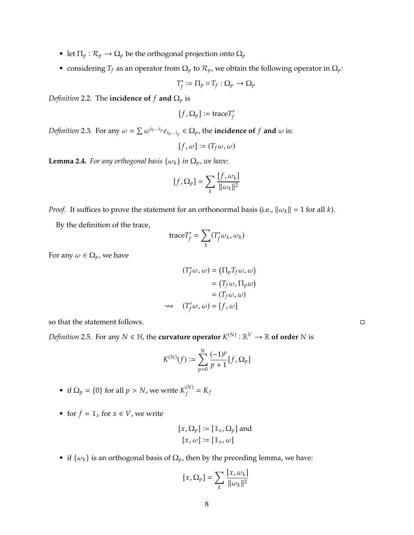- let  $\Pi_p : \mathcal{R}_p \to \Omega_p$  be the orthogonal projection onto  $\Omega_p$
- considering  $T_f$  as an operator from  $\Omega_p$  to  $\mathcal{R}_p$ , we obtain the following operator in  $\Omega_p$ :

$$
T'_f:=\Pi_p\circ T_f:\Omega_p\to\Omega_p
$$

*Definition* 2.2*.* The **incidence of**  $f$  **and**  $\Omega_p$  is

$$
[f,\Omega_p]:=\text{trace}T'_f
$$

*Definition* 2.3. For any  $\omega = \sum \omega^{i_0...i_p} e_{i_0...i_p} \in \Omega_p$ , the **incidence of**  $f$  and  $\omega$  is:

 $\overline{a}$ 

$$
[f,\omega] \coloneqq (T_f\omega,\omega)
$$

**Lemma 2.4.** *For any orthogonal basis*  $\{\omega_k\}$  *in*  $\Omega_p$ *, we have:* 

$$
[f,\Omega_p]=\sum_k\frac{[f,\omega_k]}{\|\omega_k\|^2}
$$

*Proof.* It suffices to prove the statement for an orthonormal basis (i.e.,  $\|\omega_k\| = 1$  for all k).

By the definition of the trace,

$$
\text{trace}T_{f}' = \sum_{k}(T_{f}'\omega_{k}, \omega_{k})
$$

For any  $\omega \in \Omega_p$ , we have

$$
(T'_f \omega, \omega) = (\Pi_p T_f \omega, \omega)
$$

$$
= (T_f \omega, \Pi_p \omega)
$$

$$
= (T_f \omega, \omega)
$$

$$
\Leftrightarrow (T'_f \omega, \omega) = [f, \omega]
$$

so that the statement follows.

*Definition* 2.5. For any  $N \in \mathbb{N}$ , the **curvature operator**  $K^{(N)} : \mathbb{R}^V \to \mathbb{R}$  **of order**  $N$  is

$$
K^{(N)}(f) := \sum_{p=0}^{N} \frac{(-1)^p}{p+1} [f, \Omega_p]
$$

- if  $\Omega_p = \{0\}$  for all  $p > N$ , we write  $K_f^{(N)}$  $K_f^{(N)} = K_f$
- for  $f = \mathbb{1}_x$  for  $x \in V$ , we write

$$
[x, \Omega_p] := [\mathbb{1}_x, \Omega_p]
$$
 and  

$$
[x, \omega] := [\mathbb{1}_x, \omega]
$$

• if  $\{\omega_k\}$  is an orthogonal basis of  $\Omega_p$ , then by the preceding lemma, we have:

$$
[x,\Omega_p]=\sum_k\frac{[x,\omega_k]}{\|\omega_k\|^2}
$$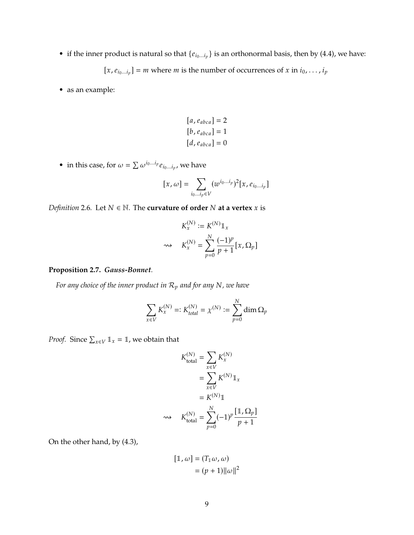• if the inner product is natural so that  $\{e_{i_0...i_p}\}$  is an orthonormal basis, then by (4.4), we have:

 $[x, e_{i_0...i_p}] = m$  where *m* is the number of occurrences of *x* in  $i_0, ..., i_p$ 

• as an example:

$$
[a, e_{abca}] = 2
$$
  

$$
[b, e_{abca}] = 1
$$
  

$$
[d, e_{abca}] = 0
$$

• in this case, for  $\omega = \sum \omega^{i_0...i_p} e_{i_0...i_p}$ , we have

$$
[x,\omega] = \sum_{i_0...i_p \in V} (w^{i_0...i_p})^2 [x, e_{i_0...i_p}]
$$

*Definition* 2.6. Let  $N \in \mathbb{N}$ . The **curvature of order**  $N$  at a vertex  $x$  is

$$
K_x^{(N)} := K^{(N)} \mathbb{1}_x
$$
  

$$
\implies K_x^{(N)} = \sum_{p=0}^N \frac{(-1)^p}{p+1} [x, \Omega_p]
$$

#### **Proposition 2.7.** *Gauss-Bonnet.*

*For any choice of the inner product in*  $\mathcal{R}_p$  *and for any*  $N$ *, we have* 

$$
\sum_{x\in V}K_x^{(N)}=:K_{total}^{(N)}=\chi^{(N)}:=\sum_{p=0}^N\dim\Omega_p
$$

*Proof.* Since  $\sum_{x \in V} 1_x = 1$ , we obtain that

$$
K_{\text{total}}^{(N)} = \sum_{x \in V} K_x^{(N)}
$$

$$
= \sum_{x \in V} K^{(N)} \mathbb{1}_x
$$

$$
= K^{(N)} \mathbb{1}
$$

$$
\implies K_{\text{total}}^{(N)} = \sum_{p=0}^{N} (-1)^p \frac{[\mathbb{1}, \Omega_p]}{p+1}
$$

On the other hand, by (4.3),

$$
[\mathbb{1}, \omega] = (T_{\mathbb{1}}\omega, \omega)
$$

$$
= (p+1) ||\omega||^2
$$